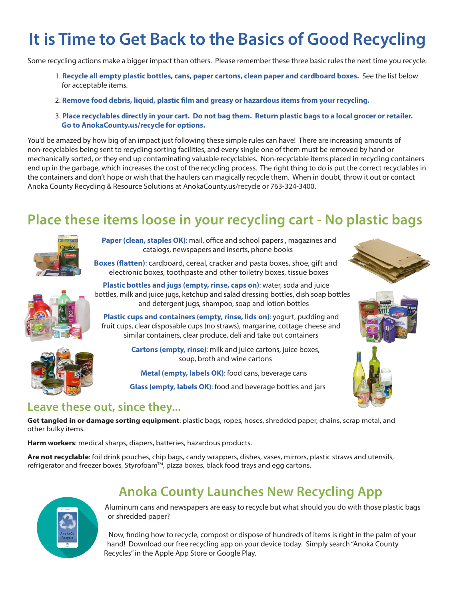# **It is Time to Get Back to the Basics of Good Recycling**

Some recycling actions make a bigger impact than others. Please remember these three basic rules the next time you recycle:

- 1. **Recycle all empty plastic bottles, cans, paper cartons, clean paper and cardboard boxes.** See the list below for acceptable items.
- 2. **Remove food debris, liquid, plastic film and greasy or hazardous items from your recycling.**
- 3. **Place recyclables directly in your cart. Do not bag them. Return plastic bags to a local grocer or retailer. Go to AnokaCounty.us/recycle for options.**

You'd be amazed by how big of an impact just following these simple rules can have! There are increasing amounts of non-recyclables being sent to recycling sorting facilities, and every single one of them must be removed by hand or mechanically sorted, or they end up contaminating valuable recyclables. Non-recyclable items placed in recycling containers end up in the garbage, which increases the cost of the recycling process. The right thing to do is put the correct recyclables in the containers and don't hope or wish that the haulers can magically recycle them. When in doubt, throw it out or contact Anoka County Recycling & Resource Solutions at AnokaCounty.us/recycle or 763-324-3400.

## **Place these items loose in your recycling cart - No plastic bags**



**Paper (clean, staples OK)**: mail, office and school papers , magazines and catalogs, newspapers and inserts, phone books

**Boxes (flatten)**: cardboard, cereal, cracker and pasta boxes, shoe, gift and electronic boxes, toothpaste and other toiletry boxes, tissue boxes



**Plastic bottles and jugs (empty, rinse, caps on)**: water, soda and juice bottles, milk and juice jugs, ketchup and salad dressing bottles, dish soap bottles and detergent jugs, shampoo, soap and lotion bottles **Plastic cups and containers (empty, rinse, lids on)**: yogurt, pudding and

fruit cups, clear disposable cups (no straws), margarine, cottage cheese and similar containers, clear produce, deli and take out containers

> **Cartons (empty, rinse)**: milk and juice cartons, juice boxes, soup, broth and wine cartons

**Metal (empty, labels OK)**: food cans, beverage cans

**Glass (empty, labels OK)**: food and beverage bottles and jars







#### **Leave these out, since they...**

**Get tangled in or damage sorting equipment**: plastic bags, ropes, hoses, shredded paper, chains, scrap metal, and other bulky items.

**Harm workers**: medical sharps, diapers, batteries, hazardous products.

**Are not recyclable**: foil drink pouches, chip bags, candy wrappers, dishes, vases, mirrors, plastic straws and utensils, refrigerator and freezer boxes, Styrofoam™, pizza boxes, black food trays and egg cartons.



### **Anoka County Launches New Recycling App**

Aluminum cans and newspapers are easy to recycle but what should you do with those plastic bags or shredded paper?

Now, finding how to recycle, compost or dispose of hundreds of items is right in the palm of your hand! Download our free recycling app on your device today. Simply search "Anoka County Recycles" in the Apple App Store or Google Play.